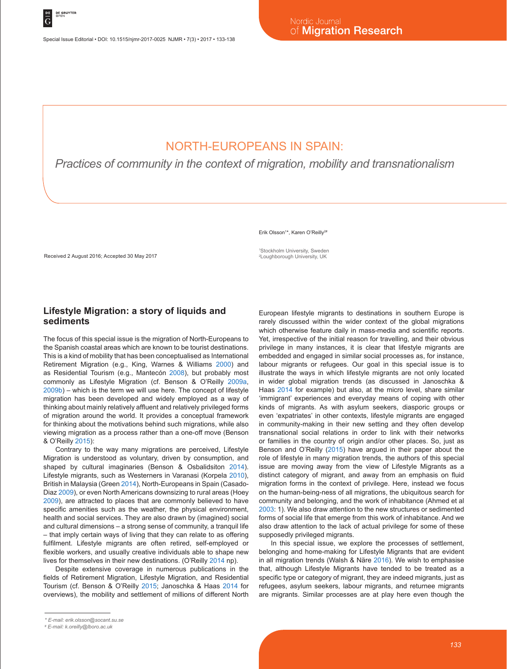Special Issue Editorial • DOI: 10.1515/njmr-2017-0025 NJMR • 7(3) • 2017 • 133-138

# NORTH-EUROPEANS IN SPAIN:

*Practices of community in the context of migration, mobility and transnationalism*

Erik Olsson<sup>1\*</sup>, Karen O'Reilly<sup>2#</sup>

Received 2 August 2016; Accepted 30 May 2017

1 Stockholm University, Sweden 2 Loughborough University, UK

## **Lifestyle Migration: a story of liquids and sediments**

The focus of this special issue is the migration of North-Europeans to the Spanish coastal areas which are known to be tourist destinations. This is a kind of mobility that has been conceptualised as International Retirement Migration (e.g., King, Warnes & Williams 2000) and as Residential Tourism (e.g., Mantecón 2008), but probably most commonly as Lifestyle Migration (cf. Benson & O'Reilly 2009a, 2009b) – which is the term we will use here. The concept of lifestyle migration has been developed and widely employed as a way of thinking about mainly relatively affluent and relatively privileged forms of migration around the world. It provides a conceptual framework for thinking about the motivations behind such migrations, while also viewing migration as a process rather than a one-off move (Benson & O'Reilly 2015):

Contrary to the way many migrations are perceived, Lifestyle Migration is understood as voluntary, driven by consumption, and shaped by cultural imaginaries (Benson & Osbalidsiton 2014). Lifestyle migrants, such as Westerners in Varanasi (Korpela 2010), British in Malaysia (Green 2014), North-Europeans in Spain (Casado-Diaz 2009), or even North Americans downsizing to rural areas (Hoey 2009), are attracted to places that are commonly believed to have specific amenities such as the weather, the physical environment, health and social services. They are also drawn by (imagined) social and cultural dimensions – a strong sense of community, a tranquil life – that imply certain ways of living that they can relate to as offering fulfilment. Lifestyle migrants are often retired, self-employed or flexible workers, and usually creative individuals able to shape new lives for themselves in their new destinations. (O'Reilly 2014 np).

Despite extensive coverage in numerous publications in the fields of Retirement Migration, Lifestyle Migration, and Residential Tourism (cf. Benson & O'Reilly 2015; Janoschka & Haas 2014 for overviews), the mobility and settlement of millions of different North European lifestyle migrants to destinations in southern Europe is rarely discussed within the wider context of the global migrations which otherwise feature daily in mass-media and scientific reports. Yet, irrespective of the initial reason for travelling, and their obvious privilege in many instances, it is clear that lifestyle migrants are embedded and engaged in similar social processes as, for instance, labour migrants or refugees. Our goal in this special issue is to illustrate the ways in which lifestyle migrants are not only located in wider global migration trends (as discussed in Janoschka & Haas 2014 for example) but also, at the micro level, share similar 'immigrant' experiences and everyday means of coping with other kinds of migrants. As with asylum seekers, diasporic groups or even 'expatriates' in other contexts, lifestyle migrants are engaged in community-making in their new setting and they often develop transnational social relations in order to link with their networks or families in the country of origin and/or other places. So, just as Benson and O'Reilly (2015) have argued in their paper about the role of lifestyle in many migration trends, the authors of this special issue are moving away from the view of Lifestyle Migrants as a distinct category of migrant, and away from an emphasis on fluid migration forms in the context of privilege. Here, instead we focus on the human-being-ness of all migrations, the ubiquitous search for community and belonging, and the work of inhabitance (Ahmed et al 2003: 1). We also draw attention to the new structures or sedimented forms of social life that emerge from this work of inhabitance. And we also draw attention to the lack of actual privilege for some of these supposedly privileged migrants.

In this special issue, we explore the processes of settlement, belonging and home-making for Lifestyle Migrants that are evident in all migration trends (Walsh & Näre 2016). We wish to emphasise that, although Lifestyle Migrants have tended to be treated as a specific type or category of migrant, they are indeed migrants, just as refugees, asylum seekers, labour migrants, and returnee migrants are migrants. Similar processes are at play here even though the

*<sup>\*</sup> E-mail: erik.olsson@socant.su.se*

*<sup>#</sup> E-mail: k.oreilly@lboro.ac.uk*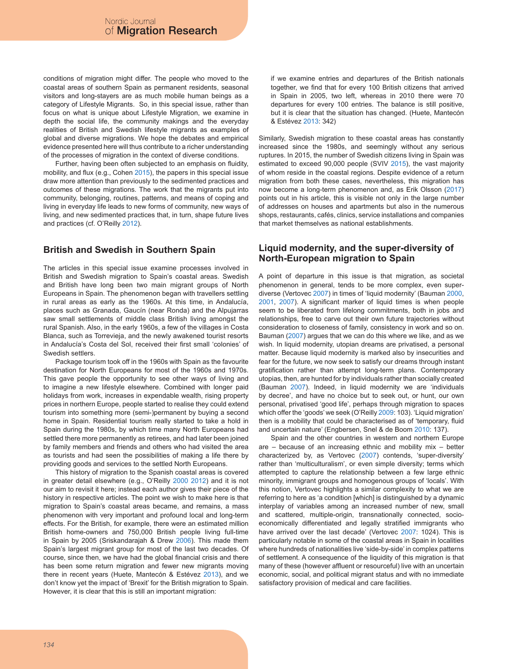conditions of migration might differ. The people who moved to the coastal areas of southern Spain as permanent residents, seasonal visitors and long-stayers are as much mobile human beings as a category of Lifestyle Migrants. So, in this special issue, rather than focus on what is unique about Lifestyle Migration, we examine in depth the social life, the community makings and the everyday realities of British and Swedish lifestyle migrants as examples of global and diverse migrations. We hope the debates and empirical evidence presented here will thus contribute to a richer understanding of the processes of migration in the context of diverse conditions.

Further, having been often subjected to an emphasis on fluidity, mobility, and flux (e.g., Cohen 2015), the papers in this special issue draw more attention than previously to the sedimented practices and outcomes of these migrations. The work that the migrants put into community, belonging, routines, patterns, and means of coping and living in everyday life leads to new forms of community, new ways of living, and new sedimented practices that, in turn, shape future lives and practices (cf. O'Reilly 2012).

## **British and Swedish in Southern Spain**

The articles in this special issue examine processes involved in British and Swedish migration to Spain's coastal areas. Swedish and British have long been two main migrant groups of North Europeans in Spain. The phenomenon began with travellers settling in rural areas as early as the 1960s. At this time, in Andalucía, places such as Granada, Gaucín (near Ronda) and the Alpujarras saw small settlements of middle class British living amongst the rural Spanish. Also, in the early 1960s, a few of the villages in Costa Blanca, such as Torrevieja, and the newly awakened tourist resorts in Andalucía's Costa del Sol, received their first small 'colonies' of Swedish settlers.

Package tourism took off in the 1960s with Spain as the favourite destination for North Europeans for most of the 1960s and 1970s. This gave people the opportunity to see other ways of living and to imagine a new lifestyle elsewhere. Combined with longer paid holidays from work, increases in expendable wealth, rising property prices in northern Europe, people started to realise they could extend tourism into something more (semi-)permanent by buying a second home in Spain. Residential tourism really started to take a hold in Spain during the 1980s, by which time many North Europeans had settled there more permanently as retirees, and had later been joined by family members and friends and others who had visited the area as tourists and had seen the possibilities of making a life there by providing goods and services to the settled North Europeans.

This history of migration to the Spanish coastal areas is covered in greater detail elsewhere (e.g., O'Reilly 2000 2012) and it is not our aim to revisit it here; instead each author gives their piece of the history in respective articles. The point we wish to make here is that migration to Spain's coastal areas became, and remains, a mass phenomenon with very important and profound local and long-term effects. For the British, for example, there were an estimated million British home-owners and 750,000 British people living full-time in Spain by 2005 (Sriskandarajah & Drew 2006). This made them Spain's largest migrant group for most of the last two decades. Of course, since then, we have had the global financial crisis and there has been some return migration and fewer new migrants moving there in recent years (Huete, Mantecón & Estévez 2013), and we don't know yet the impact of 'Brexit' for the British migration to Spain. However, it is clear that this is still an important migration:

if we examine entries and departures of the British nationals together, we find that for every 100 British citizens that arrived in Spain in 2005, two left, whereas in 2010 there were 70 departures for every 100 entries. The balance is still positive, but it is clear that the situation has changed. (Huete, Mantecón & Estévez 2013: 342)

Similarly, Swedish migration to these coastal areas has constantly increased since the 1980s, and seemingly without any serious ruptures. In 2015, the number of Swedish citizens living in Spain was estimated to exceed 90,000 people (SVIV 2015), the vast majority of whom reside in the coastal regions. Despite evidence of a return migration from both these cases, nevertheless, this migration has now become a long-term phenomenon and, as Erik Olsson (2017) points out in his article, this is visible not only in the large number of addresses on houses and apartments but also in the numerous shops, restaurants, cafés, clinics, service installations and companies that market themselves as national establishments.

## **Liquid modernity, and the super-diversity of North-European migration to Spain**

A point of departure in this issue is that migration, as societal phenomenon in general, tends to be more complex, even superdiverse (Vertovec 2007) in times of 'liquid modernity' (Bauman 2000, 2001, 2007). A significant marker of liquid times is when people seem to be liberated from lifelong commitments, both in jobs and relationships, free to carve out their own future trajectories without consideration to closeness of family, consistency in work and so on. Bauman (2007) argues that we can do this where we like, and as we wish. In liquid modernity, utopian dreams are privatised, a personal matter. Because liquid modernity is marked also by insecurities and fear for the future, we now seek to satisfy our dreams through instant gratification rather than attempt long-term plans. Contemporary utopias, then, are hunted for by individuals rather than socially created (Bauman 2007). Indeed, in liquid modernity we are 'individuals by decree', and have no choice but to seek out, or hunt, our own personal, privatised 'good life', perhaps through migration to spaces which offer the 'goods' we seek (O'Reilly 2009: 103). 'Liquid migration' then is a mobility that could be characterised as of 'temporary, fluid and uncertain nature' (Engbersen, Snel & de Boom 2010: 137).

Spain and the other countries in western and northern Europe are – because of an increasing ethnic and mobility mix – better characterized by, as Vertovec (2007) contends, 'super-diversity' rather than 'multiculturalism', or even simple diversity; terms which attempted to capture the relationship between a few large ethnic minority, immigrant groups and homogenous groups of 'locals'. With this notion, Vertovec highlights a similar complexity to what we are referring to here as 'a condition [which] is distinguished by a dynamic interplay of variables among an increased number of new, small and scattered, multiple-origin, transnationally connected, socioeconomically differentiated and legally stratified immigrants who have arrived over the last decade' (Vertovec 2007: 1024). This is particularly notable in some of the coastal areas in Spain in localities where hundreds of nationalities live 'side-by-side' in complex patterns of settlement. A consequence of the liquidity of this migration is that many of these (however affluent or resourceful) live with an uncertain economic, social, and political migrant status and with no immediate satisfactory provision of medical and care facilities.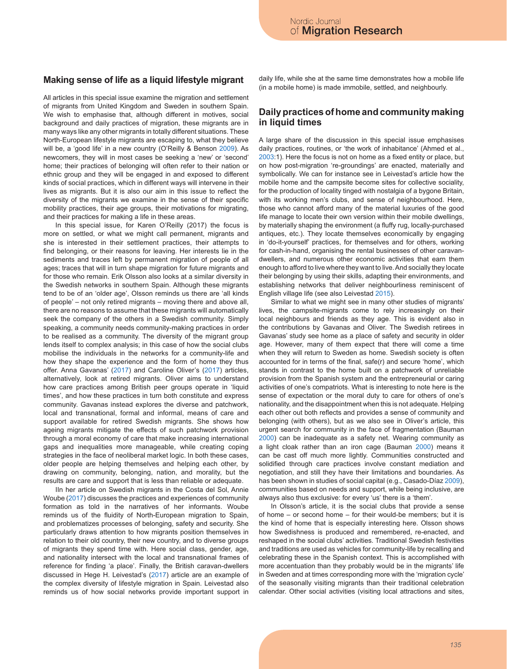### **Making sense of life as a liquid lifestyle migrant**

All articles in this special issue examine the migration and settlement of migrants from United Kingdom and Sweden in southern Spain. We wish to emphasise that, although different in motives, social background and daily practices of migration, these migrants are in many ways like any other migrants in totally different situations. These North-European lifestyle migrants are escaping to, what they believe will be, a 'good life' in a new country (O'Reilly & Benson 2009). As newcomers, they will in most cases be seeking a 'new' or 'second' home; their practices of belonging will often refer to their nation or ethnic group and they will be engaged in and exposed to different kinds of social practices, which in different ways will intervene in their lives as migrants. But it is also our aim in this issue to reflect the diversity of the migrants we examine in the sense of their specific mobility practices, their age groups, their motivations for migrating, and their practices for making a life in these areas.

In this special issue, for Karen O'Reilly (2017) the focus is more on settled, or what we might call permanent, migrants and she is interested in their settlement practices, their attempts to find belonging, or their reasons for leaving. Her interests lie in the sediments and traces left by permanent migration of people of all ages; traces that will in turn shape migration for future migrants and for those who remain. Erik Olsson also looks at a similar diversity in the Swedish networks in southern Spain. Although these migrants tend to be of an 'older age', Olsson reminds us there are 'all kinds of people' – not only retired migrants – moving there and above all, there are no reasons to assume that these migrants will automatically seek the company of the others in a Swedish community. Simply speaking, a community needs community-making practices in order to be realised as a community. The diversity of the migrant group lends itself to complex analysis; in this case of how the social clubs mobilise the individuals in the networks for a community-life and how they shape the experience and the form of home they thus offer. Anna Gavanas' (2017) and Caroline Oliver's (2017) articles, alternatively, look at retired migrants. Oliver aims to understand how care practices among British peer groups operate in 'liquid times', and how these practices in turn both constitute and express community. Gavanas instead explores the diverse and patchwork, local and transnational, formal and informal, means of care and support available for retired Swedish migrants. She shows how ageing migrants mitigate the effects of such patchwork provision through a moral economy of care that make increasing international gaps and inequalities more manageable, while creating coping strategies in the face of neoliberal market logic. In both these cases, older people are helping themselves and helping each other, by drawing on community, belonging, nation, and morality, but the results are care and support that is less than reliable or adequate.

IIn her article on Swedish migrants in the Costa del Sol, Annie Woube (2017) discusses the practices and experiences of community formation as told in the narratives of her informants. Woube reminds us of the fluidity of North-European migration to Spain, and problematizes processes of belonging, safety and security. She particularly draws attention to how migrants position themselves in relation to their old country, their new country, and to diverse groups of migrants they spend time with. Here social class, gender, age, and nationality intersect with the local and transnational frames of reference for finding 'a place'. Finally, the British caravan-dwellers discussed in Hege H. Leivestad's (2017) article are an example of the complex diversity of lifestyle migration in Spain. Leivestad also reminds us of how social networks provide important support in daily life, while she at the same time demonstrates how a mobile life (in a mobile home) is made immobile, settled, and neighbourly.

## **Daily practices of home and community making in liquid times**

A large share of the discussion in this special issue emphasises daily practices, routines, or 'the work of inhabitance' (Ahmed et al., 2003:1). Here the focus is not on home as a fixed entity or place, but on how post-migration 're-groundings' are enacted, materially and symbolically. We can for instance see in Leivestad's article how the mobile home and the campsite become sites for collective sociality, for the production of locality tinged with nostalgia of a bygone Britain, with its working men's clubs, and sense of neighbourhood. Here, those who cannot afford many of the material luxuries of the good life manage to locate their own version within their mobile dwellings, by materially shaping the environment (a fluffy rug, locally-purchased antiques, etc.). They locate themselves economically by engaging in 'do-it-yourself' practices, for themselves and for others, working for cash-in-hand, organising the rental businesses of other caravandwellers, and numerous other economic activities that earn them enough to afford to live where they want to live. And socially they locate their belonging by using their skills, adapting their environments, and establishing networks that deliver neighbourliness reminiscent of English village life (see also Leivestad 2015).

Similar to what we might see in many other studies of migrants' lives, the campsite-migrants come to rely increasingly on their local neighbours and friends as they age. This is evident also in the contributions by Gavanas and Oliver. The Swedish retirees in Gavanas' study see home as a place of safety and security in older age. However, many of them expect that there will come a time when they will return to Sweden as home. Swedish society is often accounted for in terms of the final, safe(r) and secure 'home', which stands in contrast to the home built on a patchwork of unreliable provision from the Spanish system and the entrepreneurial or caring activities of one's compatriots. What is interesting to note here is the sense of expectation or the moral duty to care for others of one's nationality, and the disappointment when this is not adequate. Helping each other out both reflects and provides a sense of community and belonging (with others), but as we also see in Oliver's article, this urgent search for community in the face of fragmentation (Bauman 2000) can be inadequate as a safety net. Wearing community as a light cloak rather than an iron cage (Bauman 2000) means it can be cast off much more lightly. Communities constructed and solidified through care practices involve constant mediation and negotiation, and still they have their limitations and boundaries. As has been shown in studies of social capital (e.g., Casado-Díaz 2009), communities based on needs and support, while being inclusive, are always also thus exclusive: for every 'us' there is a 'them'.

In Olsson's article, it is the social clubs that provide a sense of home – or second home – for their would-be members; but it is the kind of home that is especially interesting here. Olsson shows how Swedishness is produced and remembered, re-enacted, and reshaped in the social clubs' activities. Traditional Swedish festivities and traditions are used as vehicles for community-life by recalling and celebrating these in the Spanish context. This is accomplished with more accentuation than they probably would be in the migrants' life in Sweden and at times corresponding more with the 'migration cycle' of the seasonally visiting migrants than their traditional celebration calendar. Other social activities (visiting local attractions and sites,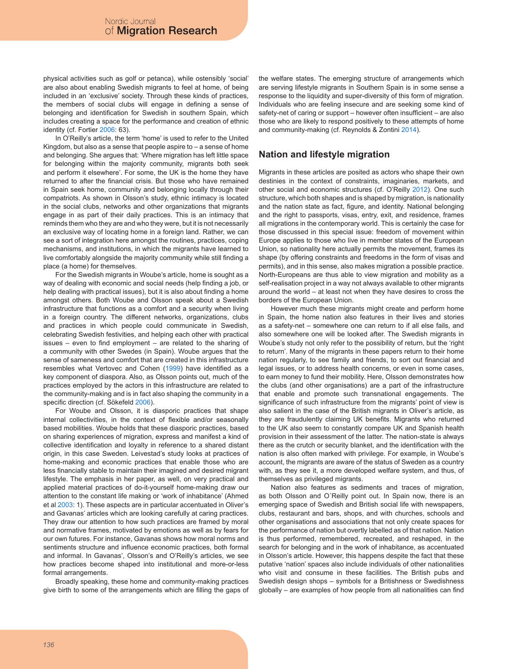physical activities such as golf or petanca), while ostensibly 'social' are also about enabling Swedish migrants to feel at home, of being included in an 'exclusive' society. Through these kinds of practices, the members of social clubs will engage in defining a sense of belonging and identification for Swedish in southern Spain, which includes creating a space for the performance and creation of ethnic identity (cf. Fortier 2006: 63).

In O'Reilly's article, the term 'home' is used to refer to the United Kingdom, but also as a sense that people aspire to  $-$  a sense of home and belonging. She argues that: 'Where migration has left little space for belonging within the majority community, migrants both seek and perform it elsewhere'. For some, the UK is the home they have returned to after the financial crisis. But those who have remained in Spain seek home, community and belonging locally through their compatriots. As shown in Olsson's study, ethnic intimacy is located in the social clubs, networks and other organizations that migrants engage in as part of their daily practices. This is an intimacy that reminds them who they are and who they were, but it is not necessarily an exclusive way of locating home in a foreign land. Rather, we can see a sort of integration here amongst the routines, practices, coping mechanisms, and institutions, in which the migrants have learned to live comfortably alongside the majority community while still finding a place (a home) for themselves.

For the Swedish migrants in Woube's article, home is sought as a way of dealing with economic and social needs (help finding a job, or help dealing with practical issues), but it is also about finding a home amongst others. Both Woube and Olsson speak about a Swedish infrastructure that functions as a comfort and a security when living in a foreign country. The different networks, organizations, clubs and practices in which people could communicate in Swedish, celebrating Swedish festivities, and helping each other with practical issues – even to find employment – are related to the sharing of a community with other Swedes (in Spain). Woube argues that the sense of sameness and comfort that are created in this infrastructure resembles what Vertovec and Cohen (1999) have identified as a key component of diaspora. Also, as Olsson points out, much of the practices employed by the actors in this infrastructure are related to the community-making and is in fact also shaping the community in a specific direction (cf. Sökefeld 2006).

For Woube and Olsson, it is diasporic practices that shape internal collectivities, in the context of flexible and/or seasonally based mobilities. Woube holds that these diasporic practices, based on sharing experiences of migration, express and manifest a kind of collective identification and loyalty in reference to a shared distant origin, in this case Sweden. Leivestad's study looks at practices of home-making and economic practices that enable those who are less financially stable to maintain their imagined and desired migrant lifestyle. The emphasis in her paper, as well, on very practical and applied material practices of do-it-yourself home-making draw our attention to the constant life making or 'work of inhabitance' (Ahmed et al 2003: 1). These aspects are in particular accentuated in Oliver's and Gavanas' articles which are looking carefully at caring practices. They draw our attention to how such practices are framed by moral and normative frames, motivated by emotions as well as by fears for our own futures. For instance, Gavanas shows how moral norms and sentiments structure and influence economic practices, both formal and informal. In Gavanas', Olsson's and O'Reilly's articles, we see how practices become shaped into institutional and more-or-less formal arrangements.

Broadly speaking, these home and community-making practices give birth to some of the arrangements which are filling the gaps of the welfare states. The emerging structure of arrangements which are serving lifestyle migrants in Southern Spain is in some sense a response to the liquidity and super-diversity of this form of migration. Individuals who are feeling insecure and are seeking some kind of safety-net of caring or support – however often insufficient – are also those who are likely to respond positively to these attempts of home and community-making (cf. Reynolds & Zontini 2014).

## **Nation and lifestyle migration**

Migrants in these articles are posited as actors who shape their own destinies in the context of constraints, imaginaries, markets, and other social and economic structures (cf. O'Reilly 2012). One such structure, which both shapes and is shaped by migration, is nationality and the nation state as fact, figure, and identity. National belonging and the right to passports, visas, entry, exit, and residence, frames all migrations in the contemporary world. This is certainly the case for those discussed in this special issue: freedom of movement within Europe applies to those who live in member states of the European Union, so nationality here actually permits the movement, frames its shape (by offering constraints and freedoms in the form of visas and permits), and in this sense, also makes migration a possible practice. North-Europeans are thus able to view migration and mobility as a self-realisation project in a way not always available to other migrants around the world – at least not when they have desires to cross the borders of the European Union.

However much these migrants might create and perform home in Spain, the home nation also features in their lives and stories as a safety-net – somewhere one can return to if all else fails, and also somewhere one will be looked after. The Swedish migrants in Woube's study not only refer to the possibility of return, but the 'right to return'. Many of the migrants in these papers return to their home nation regularly, to see family and friends, to sort out financial and legal issues, or to address health concerns, or even in some cases, to earn money to fund their mobility. Here, Olsson demonstrates how the clubs (and other organisations) are a part of the infrastructure that enable and promote such transnational engagements. The significance of such infrastructure from the migrants' point of view is also salient in the case of the British migrants in Oliver's article, as they are fraudulently claiming UK benefits. Migrants who returned to the UK also seem to constantly compare UK and Spanish health provision in their assessment of the latter. The nation-state is always there as the crutch or security blanket, and the identification with the nation is also often marked with privilege. For example, in Woube's account, the migrants are aware of the status of Sweden as a country with, as they see it, a more developed welfare system, and thus, of themselves as privileged migrants.

Nation also features as sediments and traces of migration, as both Olsson and O´Reilly point out. In Spain now, there is an emerging space of Swedish and British social life with newspapers, clubs, restaurant and bars, shops, and with churches, schools and other organisations and associations that not only create spaces for the performance of nation but overtly labelled as of that nation. Nation is thus performed, remembered, recreated, and reshaped, in the search for belonging and in the work of inhabitance, as accentuated in Olsson's article. However, this happens despite the fact that these putative 'nation' spaces also include individuals of other nationalities who visit and consume in these facilities. The British pubs and Swedish design shops – symbols for a Britishness or Swedishness globally – are examples of how people from all nationalities can find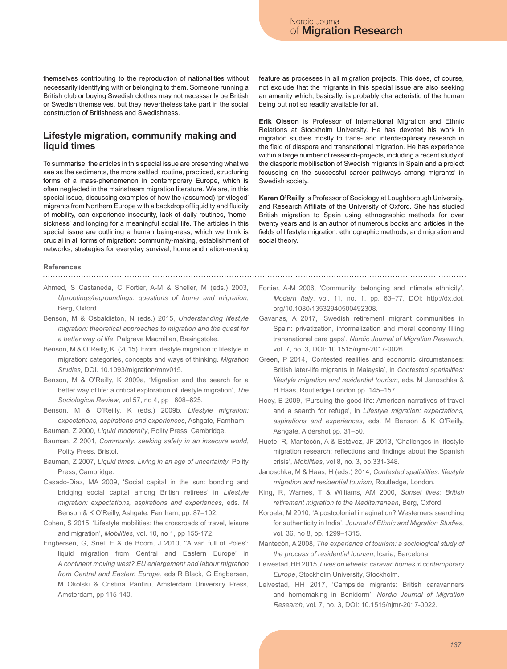themselves contributing to the reproduction of nationalities without necessarily identifying with or belonging to them. Someone running a British club or buying Swedish clothes may not necessarily be British or Swedish themselves, but they nevertheless take part in the social construction of Britishness and Swedishness.

## **Lifestyle migration, community making and liquid times**

To summarise, the articles in this special issue are presenting what we see as the sediments, the more settled, routine, practiced, structuring forms of a mass-phenomenon in contemporary Europe, which is often neglected in the mainstream migration literature. We are, in this special issue, discussing examples of how the (assumed) 'privileged' migrants from Northern Europe with a backdrop of liquidity and fluidity of mobility, can experience insecurity, lack of daily routines, 'homesickness' and longing for a meaningful social life. The articles in this special issue are outlining a human being-ness, which we think is crucial in all forms of migration: community-making, establishment of networks, strategies for everyday survival, home and nation-making

#### **References**

- 
- Ahmed, S Castaneda, C Fortier, A-M & Sheller, M (eds.) 2003, *Uprootings/regroundings: questions of home and migration*, Berg, Oxford.
- Benson, M & Osbaldiston, N (eds.) 2015, *Understanding lifestyle migration: theoretical approaches to migration and the quest for a better way of life*, Palgrave Macmillan, Basingstoke.
- Benson, M & O´Reilly, K. (2015). From lifestyle migration to lifestyle in migration: categories, concepts and ways of thinking. *Migration Studies*, DOI. 10.1093/migration/mnv015.
- Benson, M & O'Reilly, K 2009a, 'Migration and the search for a better way of life: a critical exploration of lifestyle migration', *The Sociological Review*, vol 57, no 4, pp 608–625.
- Benson, M & O'Reilly, K (eds.) 2009b, *Lifestyle migration: expectations, aspirations and experiences*, Ashgate, Farnham.
- Bauman, Z 2000, *Liquid modernity*, Polity Press, Cambridge.
- Bauman, Z 2001, *Community: seeking safety in an insecure world*, Polity Press, Bristol.
- Bauman, Z 2007, *Liquid times. Living in an age of uncertainty*, Polity Press, Cambridge.
- Casado-Diaz, MA 2009, 'Social capital in the sun: bonding and bridging social capital among British retirees' in *Lifestyle migration: expectations, aspirations and experiences*, eds. M Benson & K O'Reilly, Ashgate, Farnham, pp. 87–102.
- Cohen, S 2015, 'Lifestyle mobilities: the crossroads of travel, leisure and migration', *Mobilities*, vol. 10, no 1, pp 155-172.
- Engbersen, G, Snel, E & de Boom, J 2010, ''A van full of Poles': liquid migration from Central and Eastern Europe' in *A continent moving west? EU enlargement and labour migration from Central and Eastern Europe*, eds R Black, G Engbersen, M Okólski & Cristina Pantîru, Amsterdam University Press, Amsterdam, pp 115-140.

feature as processes in all migration projects. This does, of course, not exclude that the migrants in this special issue are also seeking an amenity which, basically, is probably characteristic of the human being but not so readily available for all.

**Erik Olsson** is Professor of International Migration and Ethnic Relations at Stockholm University. He has devoted his work in migration studies mostly to trans- and interdisciplinary research in the field of diaspora and transnational migration. He has experience within a large number of research-projects, including a recent study of the diasporic mobilisation of Swedish migrants in Spain and a project focussing on the successful career pathways among migrants' in Swedish society.

**Karen O'Reilly** is Professor of Sociology at Loughborough University, and Research Affiliate of the University of Oxford. She has studied British migration to Spain using ethnographic methods for over twenty years and is an author of numerous books and articles in the fields of lifestyle migration, ethnographic methods, and migration and social theory.

- Fortier, A-M 2006, 'Community, belonging and intimate ethnicity', *Modern Italy*, vol. 11, no. 1, pp. 63–77, DOI: http://dx.doi. org/10.1080/13532940500492308.
- Gavanas, A 2017, 'Swedish retirement migrant communities in Spain: privatization, informalization and moral economy filling transnational care gaps', *Nordic Journal of Migration Research*, vol. 7, no. 3, DOI: 10.1515/njmr-2017-0026.
- Green, P 2014, 'Contested realities and economic circumstances: British later-life migrants in Malaysia', in *Contested spatialities: lifestyle migration and residential tourism*, eds. M Janoschka & H Haas, Routledge London pp. 145–157.
- Hoey, B 2009, 'Pursuing the good life: American narratives of travel and a search for refuge', in *Lifestyle migration: expectations, aspirations and experiences*, eds. M Benson & K O'Reilly, Ashgate, Aldershot pp. 31–50.
- Huete, R, Mantecón, A & Estévez, JF 2013, 'Challenges in lifestyle migration research: reflections and findings about the Spanish crisis', *Mobilities*, vol 8, no. 3, pp.331-348.
- Janoschka, M & Haas, H (eds.) 2014, *Contested spatialities: lifestyle migration and residential tourism*, Routledge, London.
- King, R, Warnes, T & Williams, AM 2000, *Sunset lives: British retirement migration to the Mediterranean*, Berg, Oxford.
- Korpela, M 2010, 'A postcolonial imagination? Westerners searching for authenticity in India', *Journal of Ethnic and Migration Studies*, vol. 36, no 8, pp. 1299–1315.
- Mantecón, A 2008, *The experience of tourism: a sociological study of the process of residential tourism*, Icaria, Barcelona.
- Leivestad, HH 2015, *Lives on wheels: caravan homes in contemporary Europe*, Stockholm University, Stockholm.
- Leivestad, HH 2017, 'Campside migrants: British caravanners and homemaking in Benidorm', *Nordic Journal of Migration Research*, vol. 7, no. 3, DOI: 10.1515/njmr-2017-0022.